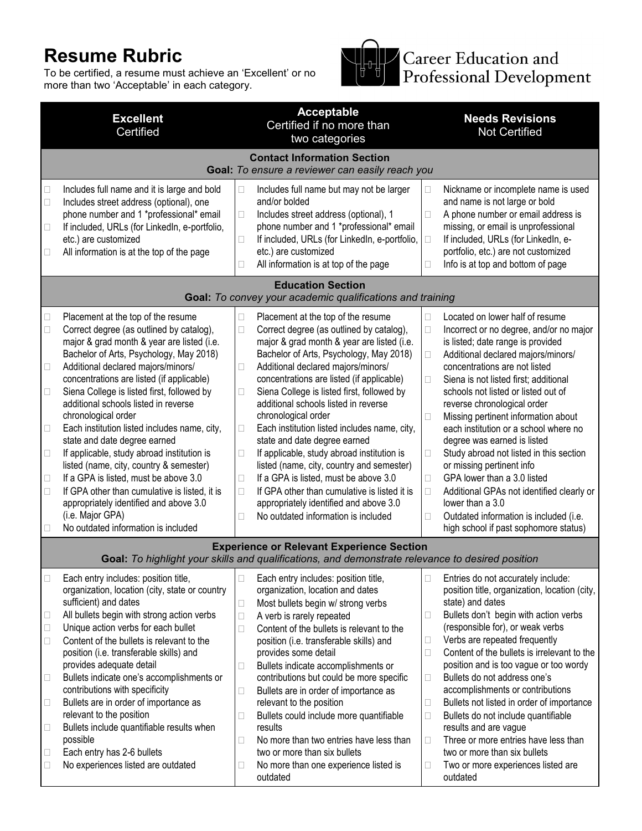## **Resume Rubric**

To be certified, a resume must achieve an 'Excellent' or no more than two 'Acceptable' in each category.



Career Education and<br>Professional Development

| <b>Excellent</b><br>Certified                                                                                                                                                                                                                                                                                                                                                                                                                                                                                                                                                                                                                                                                                                                                                                                                        | <b>Acceptable</b><br>Certified if no more than<br>two categories                                                                                                                                                                                                                                                                                                                                                                                                                                                                                                                                                                                                                                                                                                                                        | <b>Needs Revisions</b><br><b>Not Certified</b>                                                                                                                                                                                                                                                                                                                                                                                                                                                                                                                                                                                                                                                                                                             |  |  |  |  |  |
|--------------------------------------------------------------------------------------------------------------------------------------------------------------------------------------------------------------------------------------------------------------------------------------------------------------------------------------------------------------------------------------------------------------------------------------------------------------------------------------------------------------------------------------------------------------------------------------------------------------------------------------------------------------------------------------------------------------------------------------------------------------------------------------------------------------------------------------|---------------------------------------------------------------------------------------------------------------------------------------------------------------------------------------------------------------------------------------------------------------------------------------------------------------------------------------------------------------------------------------------------------------------------------------------------------------------------------------------------------------------------------------------------------------------------------------------------------------------------------------------------------------------------------------------------------------------------------------------------------------------------------------------------------|------------------------------------------------------------------------------------------------------------------------------------------------------------------------------------------------------------------------------------------------------------------------------------------------------------------------------------------------------------------------------------------------------------------------------------------------------------------------------------------------------------------------------------------------------------------------------------------------------------------------------------------------------------------------------------------------------------------------------------------------------------|--|--|--|--|--|
| <b>Contact Information Section</b><br>Goal: To ensure a reviewer can easily reach you                                                                                                                                                                                                                                                                                                                                                                                                                                                                                                                                                                                                                                                                                                                                                |                                                                                                                                                                                                                                                                                                                                                                                                                                                                                                                                                                                                                                                                                                                                                                                                         |                                                                                                                                                                                                                                                                                                                                                                                                                                                                                                                                                                                                                                                                                                                                                            |  |  |  |  |  |
| Includes full name and it is large and bold<br>$\Box$<br>Includes street address (optional), one<br>$\Box$<br>phone number and 1 *professional* email<br>If included, URLs (for LinkedIn, e-portfolio,<br>$\Box$<br>etc.) are customized<br>All information is at the top of the page<br>□                                                                                                                                                                                                                                                                                                                                                                                                                                                                                                                                           | Includes full name but may not be larger<br>Ш<br>and/or bolded<br>Includes street address (optional), 1<br>$\Box$<br>phone number and 1 *professional* email<br>If included, URLs (for LinkedIn, e-portfolio,<br>□<br>etc.) are customized<br>All information is at top of the page<br>□                                                                                                                                                                                                                                                                                                                                                                                                                                                                                                                | Nickname or incomplete name is used<br>Ш<br>and name is not large or bold<br>A phone number or email address is<br>□<br>missing, or email is unprofessional<br>If included, URLs (for LinkedIn, e-<br>□<br>portfolio, etc.) are not customized<br>Info is at top and bottom of page<br>□                                                                                                                                                                                                                                                                                                                                                                                                                                                                   |  |  |  |  |  |
| <b>Education Section</b><br>Goal: To convey your academic qualifications and training                                                                                                                                                                                                                                                                                                                                                                                                                                                                                                                                                                                                                                                                                                                                                |                                                                                                                                                                                                                                                                                                                                                                                                                                                                                                                                                                                                                                                                                                                                                                                                         |                                                                                                                                                                                                                                                                                                                                                                                                                                                                                                                                                                                                                                                                                                                                                            |  |  |  |  |  |
| Placement at the top of the resume<br>$\Box$<br>Correct degree (as outlined by catalog),<br>$\Box$<br>major & grad month & year are listed (i.e.<br>Bachelor of Arts, Psychology, May 2018)<br>Additional declared majors/minors/<br>$\Box$<br>concentrations are listed (if applicable)<br>Siena College is listed first, followed by<br>$\Box$<br>additional schools listed in reverse<br>chronological order<br>Each institution listed includes name, city,<br>$\Box$<br>state and date degree earned<br>If applicable, study abroad institution is<br>$\Box$<br>listed (name, city, country & semester)<br>If a GPA is listed, must be above 3.0<br>$\Box$<br>If GPA other than cumulative is listed, it is<br>$\Box$<br>appropriately identified and above 3.0<br>(i.e. Major GPA)<br>No outdated information is included<br>□ | Placement at the top of the resume<br>$\Box$<br>$\Box$<br>Correct degree (as outlined by catalog),<br>major & grad month & year are listed (i.e.<br>Bachelor of Arts, Psychology, May 2018)<br>Additional declared majors/minors/<br>$\Box$<br>concentrations are listed (if applicable)<br>Siena College is listed first, followed by<br>$\Box$<br>additional schools listed in reverse<br>chronological order<br>Each institution listed includes name, city,<br>□<br>state and date degree earned<br>If applicable, study abroad institution is<br>□<br>listed (name, city, country and semester)<br>If a GPA is listed, must be above 3.0<br>$\Box$<br>If GPA other than cumulative is listed it is<br>$\Box$<br>appropriately identified and above 3.0<br>No outdated information is included<br>П | Located on lower half of resume<br>$\Box$<br>$\Box$<br>Incorrect or no degree, and/or no major<br>is listed; date range is provided<br>Additional declared majors/minors/<br>$\Box$<br>concentrations are not listed<br>$\Box$<br>Siena is not listed first; additional<br>schools not listed or listed out of<br>reverse chronological order<br>Missing pertinent information about<br>□<br>each institution or a school where no<br>degree was earned is listed<br>Study abroad not listed in this section<br>$\Box$<br>or missing pertinent info<br>GPA lower than a 3.0 listed<br>$\Box$<br>Additional GPAs not identified clearly or<br>□<br>lower than a 3.0<br>Outdated information is included (i.e.<br>□<br>high school if past sophomore status) |  |  |  |  |  |
|                                                                                                                                                                                                                                                                                                                                                                                                                                                                                                                                                                                                                                                                                                                                                                                                                                      | <b>Experience or Relevant Experience Section</b><br>Goal: To highlight your skills and qualifications, and demonstrate relevance to desired position                                                                                                                                                                                                                                                                                                                                                                                                                                                                                                                                                                                                                                                    |                                                                                                                                                                                                                                                                                                                                                                                                                                                                                                                                                                                                                                                                                                                                                            |  |  |  |  |  |
| $\Box$<br>Each entry includes: position title,<br>organization, location (city, state or country<br>sufficient) and dates<br>All bullets begin with strong action verbs<br>$\Box$<br>Unique action verbs for each bullet<br>$\Box$<br>Content of the bullets is relevant to the<br>$\Box$<br>position (i.e. transferable skills) and<br>provides adequate detail<br>Bullets indicate one's accomplishments or<br>$\Box$<br>contributions with specificity<br>Bullets are in order of importance as<br>$\Box$<br>relevant to the position<br>Bullets include quantifiable results when<br>$\Box$<br>possible<br>Each entry has 2-6 bullets<br>$\Box$<br>No experiences listed are outdated<br>$\Box$                                                                                                                                  | $\Box$<br>Each entry includes: position title,<br>organization, location and dates<br>Most bullets begin w/ strong verbs<br>$\Box$<br>A verb is rarely repeated<br>$\Box$<br>Content of the bullets is relevant to the<br>П<br>position (i.e. transferable skills) and<br>provides some detail<br>Bullets indicate accomplishments or<br>□<br>contributions but could be more specific<br>Bullets are in order of importance as<br>□<br>relevant to the position<br>Bullets could include more quantifiable<br>Ш<br>results<br>No more than two entries have less than<br>П<br>two or more than six bullets<br>No more than one experience listed is<br>Ц<br>outdated                                                                                                                                   | Entries do not accurately include:<br>position title, organization, location (city,<br>state) and dates<br>Bullets don't begin with action verbs<br>□<br>(responsible for), or weak verbs<br>Verbs are repeated frequently<br>□<br>Content of the bullets is irrelevant to the<br>$\Box$<br>position and is too vague or too wordy<br>Bullets do not address one's<br>$\Box$<br>accomplishments or contributions<br>Bullets not listed in order of importance<br>Ц<br>Bullets do not include quantifiable<br>$\Box$<br>results and are vague<br>Three or more entries have less than<br>□<br>two or more than six bullets<br>Two or more experiences listed are<br>Ш<br>outdated                                                                           |  |  |  |  |  |